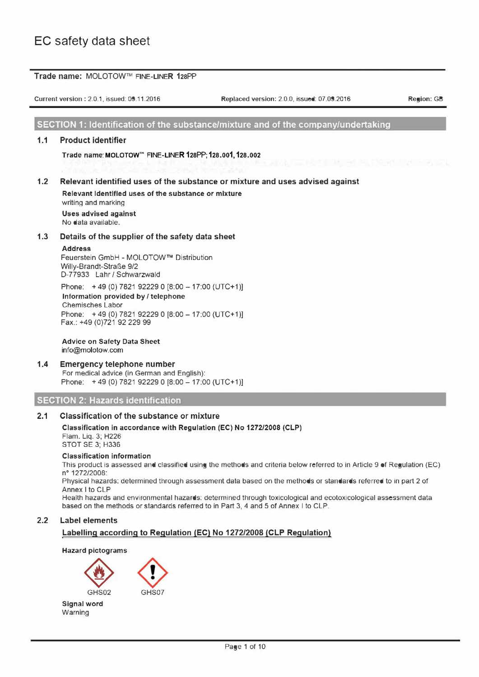|     | Current version: 2.0.1, issued: 09.11.2016                                                                                             | Replaced version: 2.0.0, issued: 07.09.2016                                                                                                                                                                                                 | Region: GB |
|-----|----------------------------------------------------------------------------------------------------------------------------------------|---------------------------------------------------------------------------------------------------------------------------------------------------------------------------------------------------------------------------------------------|------------|
|     |                                                                                                                                        | SECTION 1: Identification of the substance/mixture and of the company/undertaking                                                                                                                                                           |            |
| 1.1 | <b>Product identifier</b>                                                                                                              |                                                                                                                                                                                                                                             |            |
|     | Trade name: MOLOTOW <sup>™</sup> FINE-LINER 128PP; 128.001, 128.002                                                                    | THE THE THE R. P. LEWIS CO., LANSING MICH.                                                                                                                                                                                                  |            |
| 1.2 | Relevant Identified uses of the substance or mixture<br>writing and marking                                                            | Relevant identified uses of the substance or mixture and uses advised against                                                                                                                                                               |            |
|     | Uses advised against<br>No data available.                                                                                             |                                                                                                                                                                                                                                             |            |
| 1.3 | Details of the supplier of the safety data sheet                                                                                       |                                                                                                                                                                                                                                             |            |
|     | <b>Address</b><br>Feuerstein GmbH - MOLOTOW™ Distribution<br>Willy-Brandt-Straße 9/2<br>D-77933 Lahr / Schwarzwald                     |                                                                                                                                                                                                                                             |            |
|     | Phone: +49 (0) 7821 92229 0 [8:00 - 17:00 (UTC+1)]<br>Information provided by / telephone<br><b>Chemisches Labor</b>                   |                                                                                                                                                                                                                                             |            |
|     | Phone: +49 (0) 7821 92229 0 [8:00 - 17:00 (UTC+1)]<br>Fax.: +49 (0)721 92 229 99                                                       |                                                                                                                                                                                                                                             |            |
|     | <b>Advice on Safety Data Sheet</b><br>info@molotow.com                                                                                 |                                                                                                                                                                                                                                             |            |
| 1.4 | <b>Emergency telephone number</b><br>For medical advice (in German and English):<br>Phone: +49 (0) 7821 92229 0 [8:00 - 17:00 (UTC+1)] |                                                                                                                                                                                                                                             |            |
|     | <b>SECTION 2: Hazards identification</b>                                                                                               |                                                                                                                                                                                                                                             |            |
| 2.1 | <b>Classification of the substance or mixture</b>                                                                                      |                                                                                                                                                                                                                                             |            |
|     | Classification in accordance with Regulation (EC) No 1272/2008 (CLP)<br>Flam. Lig. 3; H226<br><b>STOT SE 3; H336</b>                   |                                                                                                                                                                                                                                             |            |
|     | <b>Classification information</b><br>nº 1272/2008:                                                                                     | This product is assessed and classified using the methods and criteria below referred to in Article 9 of Regulation (EC)<br>Physical hazards: determined through assessment data based on the methods or standards referred to in part 2 of |            |
|     | Annex I to CLP                                                                                                                         | Health hazards and environmental hazards: determined through toxicological and ecotoxicological assessment data<br>based on the methods or standards referred to in Part 3, 4 and 5 of Annex I to CLP.                                      |            |
| 2.2 | <b>Label elements</b>                                                                                                                  |                                                                                                                                                                                                                                             |            |
|     |                                                                                                                                        | Labelling according to Regulation (EC) No 1272/2008 (CLP Regulation)                                                                                                                                                                        |            |

GHS02 Signal word Warning

**Allen** 

GHS07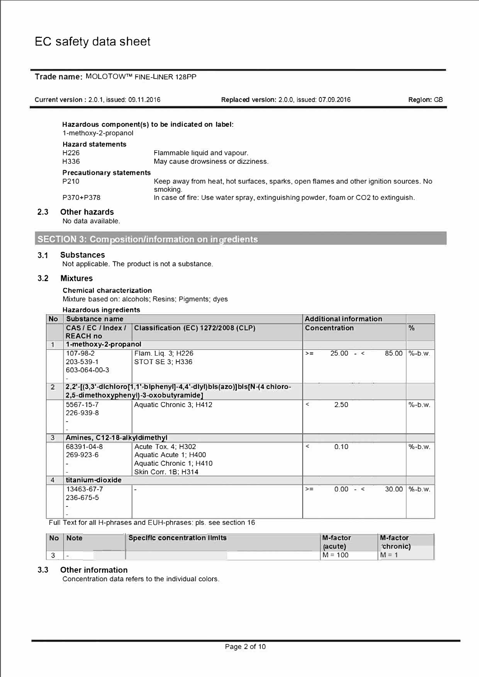## **Trade name:** MOLOTOW™ FINE-LINER 128PP

Current verslon: 2.0.1, issued: 09.11.2016 **Replaced verslon:** 2.0.0, issued: 07.09.2016 **Region: GB** 

|     | Hazardous component(s) to be indicated on label:<br>1-methoxy-2-propanol |                                                                                                   |  |  |  |
|-----|--------------------------------------------------------------------------|---------------------------------------------------------------------------------------------------|--|--|--|
|     | <b>Hazard statements</b><br>H <sub>226</sub><br>H336                     | Flammable liquid and vapour.<br>May cause drowsiness or dizziness.                                |  |  |  |
|     | <b>Precautionary statements</b>                                          |                                                                                                   |  |  |  |
|     | P <sub>210</sub>                                                         | Keep away from heat, hot surfaces, sparks, open flames and other ignition sources. No<br>smoking. |  |  |  |
|     | P370+P378                                                                | In case of fire: Use water spray, extinguishing powder, foam or CO2 to extinguish.                |  |  |  |
| 2.3 | <b>Other hazards</b>                                                     |                                                                                                   |  |  |  |

No data available.

**SECTION 3: Composition/information on ingredients** 

### **3.1 Substances**

Not applicable. The product is not a substance.

## **3.2 Mixtures**

### **Chemical characterization**

Mixture based on: alcohols; Resins; Pigments; dyes

| <b>No</b>      | Substance name                        |                                                                                                                  |                          | <b>Additional information</b> |               |
|----------------|---------------------------------------|------------------------------------------------------------------------------------------------------------------|--------------------------|-------------------------------|---------------|
|                | CAS/EC/Index/<br><b>REACH no</b>      | <b>Classification (EC) 1272/2008 (CLP)</b>                                                                       |                          | Concentration                 | $\frac{9}{6}$ |
| 1              | 1-methoxy-2-propanol                  |                                                                                                                  |                          |                               |               |
|                | 107-98-2<br>203-539-1<br>603-064-00-3 | Flam. Liq. 3; H226<br>STOT SE 3: H336                                                                            | $>=$                     | $25.00 - c$<br>85.00          | $\%$ -b.w.    |
| $\overline{2}$ |                                       | 2,2'-[(3,3'-dichioro[1,1'-biphenyi]-4,4'-diyi)bis(azo)]bis[N-(4 chioro-<br>2,5-dimethoxyphenyl)-3-oxobutyramide] |                          |                               |               |
|                | 5567-15-7<br>226-939-8                | Aquatic Chronic 3; H412                                                                                          | $\overline{\phantom{0}}$ | 2.50                          | $\%$ -b.w.    |
| 3              | Amines, C12-18-alkyldimethyl          |                                                                                                                  |                          |                               |               |
|                | 68391-04-8<br>269-923-6               | Acute Tox. 4; H302<br>Aquatic Acute 1; H400<br>Aquatic Chronic 1; H410<br>Skin Corr. 1B; H314                    | $\,<\,$                  | 0.10                          | $\%$ -b.w.    |
| $\overline{4}$ | titanium-dioxide                      |                                                                                                                  |                          |                               |               |
|                | 13463-67-7<br>236-675-5               |                                                                                                                  | $>=$                     | $0.00 - 5$<br>30.00           | $% -b.w.$     |

Full Text for all H-phrases and EUH-phrases: pls. see section 16

| <b>No</b> | <b>Note</b> | Specific concentration limits | <b>M-factor</b><br>(acute) | <b>M-factor</b><br>'chronic) |
|-----------|-------------|-------------------------------|----------------------------|------------------------------|
|           |             |                               | $M = 100$                  | $M = 1$                      |

## **3.3 Other information**

Concentration data refers to the individual colors.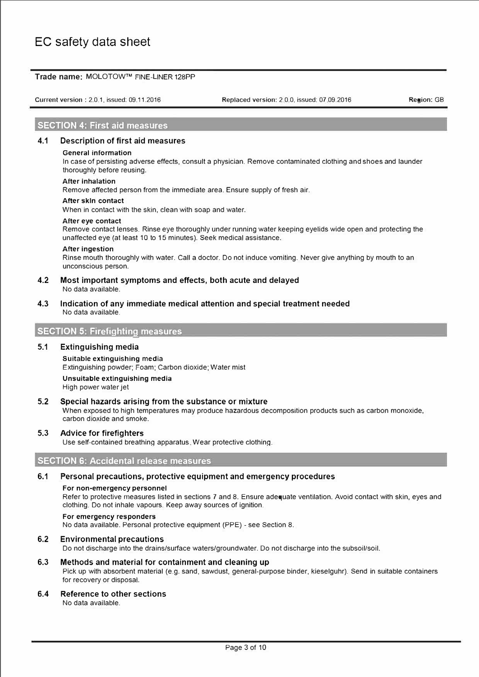### **Trade name:** MOLOTOW™ FINE-LINER 128PP

Current version : 2.0.1, issued: 09.11.2016

Replaced version: 2 0.0, issued: 07 09.2016 **Region:** GB

### **SECTION 4: First aid measures**

### **4.1 Description of first aid measures**

#### **General information**

In case of persisting adverse effects, consult a physician. Remove contaminated clothing and shoes and launder thoroughly before reusing.

### **After Inhalation**

Remove affected person from the immediate area. Ensure supply of fresh air.

### **After skln contact**

When in contact with the skin, clean with soap and water.

## **After eye contact**

Remove contact lenses. Rinse eye thoroughly under running water keeping eyelids wide open and protecting the unaffected eye (at least 10 to 15 minutes). Seek medical assistance.

#### **After Ingestion**

Rinse mouth thoroughly with water. Call a doctor. Do not induce vomiting. Never give anything by mouth to an unconscious person.

### **4.2 Most important symptoms and effects, both acute and delayed**  No data available.

**4.3 lndication of any immediate medical attention and special treatment needed**  No data available.

### **SECTION 5: Firefighting measures**

### **5.1 Extinguishing media**

Suitable extinguishing media Extinguishing powder; Foam; Carbon dioxide; Water mist

**Unsuitable extinguishing media**  High power water jet

### **5.2 Special hazards arising from the substance or mixture**

When exposed to high temperatures may produce hazardous decomposition products such as carbon monoxide, carbon dioxide and smoke.

### **5.3 Advice for firefighters**

Use self-contained breathing apparatus. Wear protective clothing.

### **SECTION 6: Accidental release measures**

## **6.1 Personal precautions, protective equipment and emergency procedures**

### **For non-emergency personnel**

Refer to protective measures listed in sections 7 and 8. Ensure adequate ventilation. Avoid contact with skin, eyes and clothing. Do not inhale vapours. Keep away sources of ignition.

## **For emergency responders**

No data available. Personal protective equipment (PPE) - see Section 8.

## **6.2 Environmental precautions**

Do not discharge into the drains/surface waters/groundwater. Do not discharge into the subsoil/soil.

## **6.3 Methods and material for containment and cleaning up**

Pick up with absorbent material (e.g. sand, sawdust, general-purpose binder, kieselguhr). Send in suitable containers for recovery or disposal.

## **6.4 Reference to other sections**

No data available.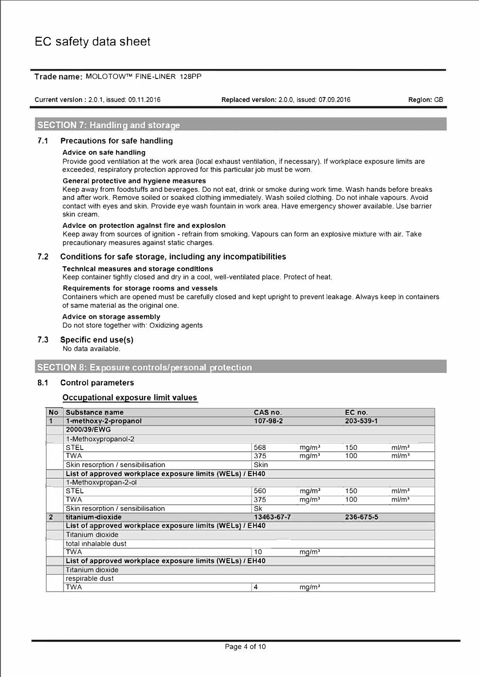### **Trade name:** MOLOTOW™ FINE-LINER 128PP

Current verslon: 2.0.1, issued: 09.11.2016

**Replaced verslon:** 2.0.0, issued: 07.09.2016 **Region: GB** 

## **SECTION 7: Handling and storage**

### **7.1 Precautions for safe handling**

### **Advice on safe handling**

Provide good ventilation at the work area (local exhaust ventilation, if necessary). lf workplace exposure limits are exceeded, respiratory protection approved for this particular job must be worn.

### **General protective and hygiene measures**

Keep away from foodstuffs and beverages. Do not eat, drink or smoke during work time. Wash hands before breaks and after work. Remove soiled or soaked clothing immediately. Wash soiled clothing. Do not inhale vapours. Avoid contact with eyes and skin. Provide eye wash fountain in work area. Have emergency shower available. Use barrier skin cream.

### **Advlce on protectlon agalnst flre and exploslon**

Keep away from sources of ignition - refrain from smoking. Vapours can form an explosive mixture with air. Take precautionary measures against static charges.

### **7.2 Conditions for safe storage, including any incompatibilities**

### **Technlcal measures and storage condltlons**

Keep container tightly closed and dry in a cool, well-ventilated place. Protect of heat.

### **Requirements for storage rooms and vessels**

Containers which are opened must be carefully closed and kept upright to prevent leakage. Always keep in containers of same material as the original one.

### **Advice on storage assembly**

Do not store together with: Oxidizing agents

### **7.3 Specific end use(s)**

No data available.

## **SECTION 8: Exposure controls/personal protection**

### **8.1 Control parameters**

### **Occupational exposure limit values**

| <b>No</b>      | <b>Substance name</b>                                    | CAS no.     |                   | EC no.    |                      |
|----------------|----------------------------------------------------------|-------------|-------------------|-----------|----------------------|
| 1              | 1-methoxy-2-propanol                                     | 107-98-2    |                   | 203-539-1 |                      |
|                | 2000/39/EWG                                              |             |                   |           |                      |
|                | 1-Methoxypropanol-2                                      |             |                   |           |                      |
|                | <b>STEL</b>                                              | 568         | mg/m <sup>3</sup> | 150       | m/m <sup>3</sup>     |
|                | <b>TWA</b>                                               | 375         | mq/m <sup>3</sup> | 100       | m/m <sup>3</sup>     |
|                | Skin resorption / sensibilisation                        | <b>Skin</b> |                   |           |                      |
|                | List of approved workplace exposure limits (WELs) / EH40 |             |                   |           |                      |
|                | 1-Methoxypropan-2-ol                                     |             |                   |           |                      |
|                | <b>STEL</b>                                              | 560         | mg/m <sup>3</sup> | 150       | m/m <sup>3</sup>     |
|                | <b>TWA</b>                                               | 375         | mg/m <sup>3</sup> | 100       | $m$ I/m <sup>3</sup> |
|                | Skin resorption / sensibilisation                        | <b>Sk</b>   |                   |           |                      |
| $\overline{2}$ | titanium-dioxide                                         | 13463-67-7  |                   | 236-675-5 |                      |
|                | List of approved workplace exposure limits (WELs) / EH40 |             |                   |           |                      |
|                | <b>Titanium dioxide</b>                                  |             |                   |           |                      |
|                | total inhalable dust                                     |             |                   |           |                      |
|                | <b>TWA</b>                                               | 10          | mg/m <sup>3</sup> |           |                      |
|                | List of approved workplace exposure limits (WELs) / EH40 |             |                   |           |                      |
|                | <b>Titanium dioxide</b>                                  |             |                   |           |                      |
|                | respirable dust                                          |             |                   |           |                      |
|                | <b>TWA</b>                                               | 4           | mg/m <sup>3</sup> |           |                      |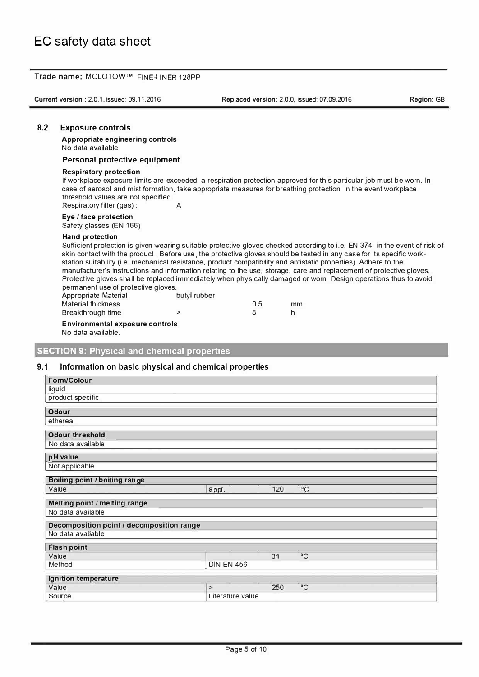|                          | Trade name: MOLOTOW™ FINE-LINER 128PP                                                                                                                                                                                                                                                                                                                                                                                                                                                                                                                                                                                                                                                                                                                                 |                                     |                                             |            |
|--------------------------|-----------------------------------------------------------------------------------------------------------------------------------------------------------------------------------------------------------------------------------------------------------------------------------------------------------------------------------------------------------------------------------------------------------------------------------------------------------------------------------------------------------------------------------------------------------------------------------------------------------------------------------------------------------------------------------------------------------------------------------------------------------------------|-------------------------------------|---------------------------------------------|------------|
|                          | Current version: 2.0.1, issued: 09.11.2016                                                                                                                                                                                                                                                                                                                                                                                                                                                                                                                                                                                                                                                                                                                            |                                     | Replaced version: 2.0.0, issued: 07.09.2016 | Region: GB |
| 8.2                      | <b>Exposure controls</b>                                                                                                                                                                                                                                                                                                                                                                                                                                                                                                                                                                                                                                                                                                                                              |                                     |                                             |            |
|                          | <b>Appropriate engineering controls</b><br>No data available.                                                                                                                                                                                                                                                                                                                                                                                                                                                                                                                                                                                                                                                                                                         |                                     |                                             |            |
|                          | Personal protective equipment                                                                                                                                                                                                                                                                                                                                                                                                                                                                                                                                                                                                                                                                                                                                         |                                     |                                             |            |
|                          | <b>Respiratory protection</b><br>If workplace exposure limits are exceeded, a respiration protection approved for this particular job must be worn. In<br>case of aerosol and mist formation, take appropriate measures for breathing protection in the event workplace<br>threshold values are not specified.<br>Respiratory filter (gas):                                                                                                                                                                                                                                                                                                                                                                                                                           | A                                   |                                             |            |
|                          | Eye / face protection<br>Safety glasses (EN 166)                                                                                                                                                                                                                                                                                                                                                                                                                                                                                                                                                                                                                                                                                                                      |                                     |                                             |            |
|                          | <b>Hand protection</b><br>Sufficient protection is given wearing suitable protective gloves checked according to i.e. EN 374, in the event of risk of<br>skin contact with the product. Before use, the protective gloves should be tested in any case for its specific work-<br>station suitability (i.e. mechanical resistance, product compatibility and antistatic properties). Adhere to the<br>manufacturer's instructions and information relating to the use, storage, care and replacement of protective gloves.<br>Protective gloves shall be replaced immediately when physically damaged or worn. Design operations thus to avoid<br>permanent use of protective gloves.<br><b>Appropriate Material</b><br><b>Material thickness</b><br>Breakthrough time | butyl rubber<br>0.5<br>R<br>$\,>\,$ | mm<br>h                                     |            |
|                          | <b>Environmental exposure controls</b><br>No data available.                                                                                                                                                                                                                                                                                                                                                                                                                                                                                                                                                                                                                                                                                                          |                                     |                                             |            |
| 9.1                      | <b>SECTION 9: Physical and chemical properties</b><br>Information on basic physical and chemical properties                                                                                                                                                                                                                                                                                                                                                                                                                                                                                                                                                                                                                                                           |                                     |                                             |            |
|                          | <b>Form/Colour</b><br>liquid                                                                                                                                                                                                                                                                                                                                                                                                                                                                                                                                                                                                                                                                                                                                          |                                     |                                             |            |
|                          | product specific                                                                                                                                                                                                                                                                                                                                                                                                                                                                                                                                                                                                                                                                                                                                                      |                                     |                                             |            |
| <b>Odour</b><br>ethereal |                                                                                                                                                                                                                                                                                                                                                                                                                                                                                                                                                                                                                                                                                                                                                                       |                                     |                                             |            |
|                          | <b>Odour threshold</b>                                                                                                                                                                                                                                                                                                                                                                                                                                                                                                                                                                                                                                                                                                                                                |                                     |                                             |            |
|                          | No data available                                                                                                                                                                                                                                                                                                                                                                                                                                                                                                                                                                                                                                                                                                                                                     |                                     |                                             |            |
|                          | pH value<br>Not applicable                                                                                                                                                                                                                                                                                                                                                                                                                                                                                                                                                                                                                                                                                                                                            |                                     |                                             |            |

**Boiling point / boiling range Value** appr. 120  $^{\circ}\mathrm{C}$ **Melting point / melting range**  No data available **Decomposition point / decomposition range**  No data available **Flash point** Value 31  $\overline{C}$ Method **DIN EN 456 lgnition temperature**  Value 250  $\overline{c}$ **>**  Source Literature value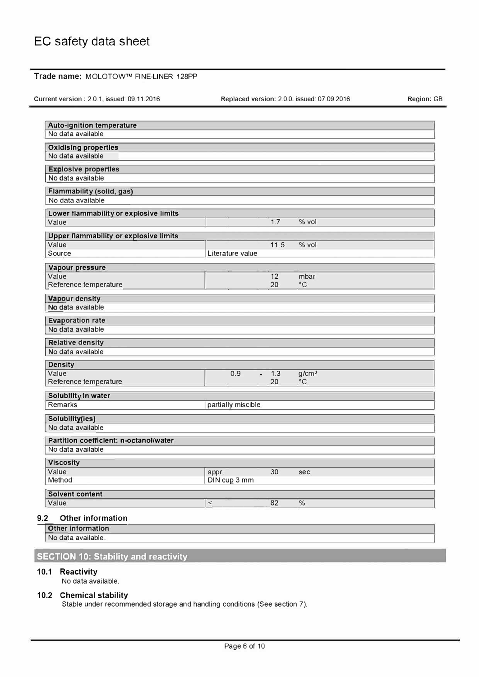## **Trade name:** MOLOTOW™ FINE-LINER 128PP

Current version : 2.0.1, issued: 09.11.2016

Replaced version: 2.0.0, issued: 07.09.2016

Region: GB

| <b>Auto-ignition temperature</b><br>No data available |                    |      |                                  |  |
|-------------------------------------------------------|--------------------|------|----------------------------------|--|
|                                                       |                    |      |                                  |  |
| <b>Oxidising properties</b><br>No data available      |                    |      |                                  |  |
| <b>Explosive properties</b>                           |                    |      |                                  |  |
| No data available                                     |                    |      |                                  |  |
| Flammability (solid, gas)                             |                    |      |                                  |  |
| No data available                                     |                    |      |                                  |  |
| Lower flammability or explosive limits                |                    |      |                                  |  |
| Value                                                 |                    | 1.7  | % vol                            |  |
| Upper flammability or explosive limits                |                    |      |                                  |  |
| Value                                                 |                    | 11.5 | % vol                            |  |
| Source                                                | Literature value   |      |                                  |  |
| Vapour pressure                                       |                    |      |                                  |  |
| Value                                                 |                    | 12   | mbar                             |  |
| Reference temperature                                 |                    | 20   | $^{\circ}C$                      |  |
| Vapour density                                        |                    |      |                                  |  |
| No data available                                     |                    |      |                                  |  |
| <b>Evaporation rate</b>                               |                    |      |                                  |  |
| No data available                                     |                    |      |                                  |  |
| <b>Relative density</b><br>No data available          |                    |      |                                  |  |
|                                                       |                    |      |                                  |  |
| <b>Density</b><br>Value                               | 0.9<br>÷           | 1.3  |                                  |  |
| Reference temperature                                 |                    | 20   | g/cm <sup>3</sup><br>$^{\circ}C$ |  |
| Solubility in water                                   |                    |      |                                  |  |
| <b>Remarks</b>                                        | partially miscible |      |                                  |  |
|                                                       |                    |      |                                  |  |
| Solubility(ies)<br>No data available                  |                    |      |                                  |  |
| Partition coefficient: n-octanol/water                |                    |      |                                  |  |
| No data available                                     |                    |      |                                  |  |
| <b>Viscosity</b>                                      |                    |      |                                  |  |
| Value                                                 | appr.              | 30   | sec                              |  |
| Method                                                | DIN cup 3 mm       |      |                                  |  |
| <b>Solvent content</b>                                |                    |      |                                  |  |
| Value                                                 | $\,<$              | 82   | $\%$                             |  |
| 9.2<br><b>Other information</b>                       |                    |      |                                  |  |
| <b>Other information</b>                              |                    |      |                                  |  |
| No data available.                                    |                    |      |                                  |  |
|                                                       |                    |      |                                  |  |

**SECTION 10: Stability and reactivity** 

## **10.1 Reactivity**

No data available.

### **10.2 Chemical stability**

Stable under recommended storage and handling conditions (See section 7).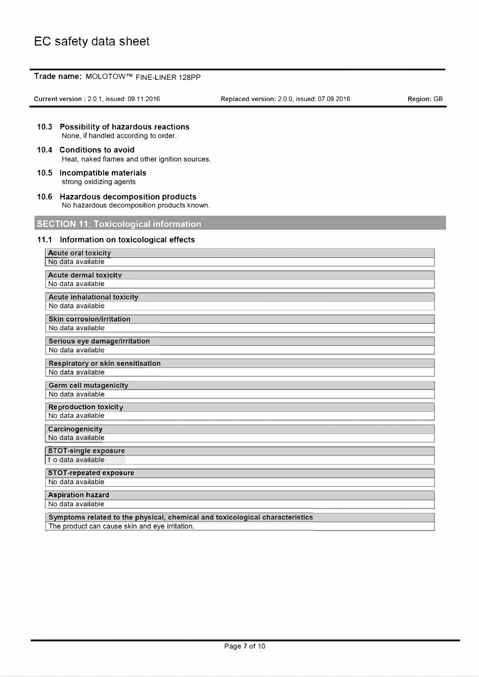à.

|      | Trade name: MOLOTOW™ FINE-LINER 128PP                                               |                                             |                   |
|------|-------------------------------------------------------------------------------------|---------------------------------------------|-------------------|
|      | Current version: 2.0.1, issued: 09.11.2016                                          | Replaced version: 2.0.0, issued: 07.09.2016 | <b>Region: GB</b> |
|      |                                                                                     |                                             |                   |
|      | 10.3 Possibility of hazardous reactions<br>None, if handled according to order.     |                                             |                   |
|      | 10.4 Conditions to avoid<br>Heat, naked flames and other ignition sources.          |                                             |                   |
|      | 10.5 Incompatible materials<br>strong oxidizing agents                              |                                             |                   |
|      | 10.6 Hazardous decomposition products<br>No hazardous decomposition products known. |                                             |                   |
|      | <b>SECTION 11: Toxicological information</b>                                        |                                             |                   |
| 11.1 | Information on toxicological effects                                                |                                             |                   |
|      | <b>Acute oral toxicity</b><br>No data available                                     |                                             |                   |
|      | <b>Acute dermal toxicity</b>                                                        |                                             |                   |
|      | No data available                                                                   |                                             |                   |
|      | <b>Acute inhalational toxicity</b><br>No data available                             |                                             |                   |
|      | <b>Skin corrosion/irritation</b>                                                    |                                             |                   |
|      | No data available                                                                   |                                             |                   |
|      | Serious eye damage/irritation<br>No data available                                  |                                             |                   |
|      | Respiratory or skin sensitisation                                                   |                                             |                   |
|      | No data available                                                                   |                                             |                   |
|      | <b>Germ cell mutagenicity</b>                                                       |                                             |                   |
|      | No data available                                                                   |                                             |                   |
|      | <b>Reproduction toxicity</b><br>No data available                                   |                                             |                   |
|      | Carcinogenicity<br>No data available                                                |                                             |                   |
|      | <b>STOT-single exposure</b>                                                         |                                             |                   |
|      | lo data available                                                                   |                                             |                   |
|      | <b>STOT-repeated exposure</b><br>No data available                                  |                                             |                   |
|      |                                                                                     |                                             |                   |
|      | <b>Aspiration hazard</b><br>No data available                                       |                                             |                   |
|      | Symptoms related to the physical, chemical and toxicological characteristics        |                                             |                   |
|      | The product can cause skin and eye irritation.                                      |                                             |                   |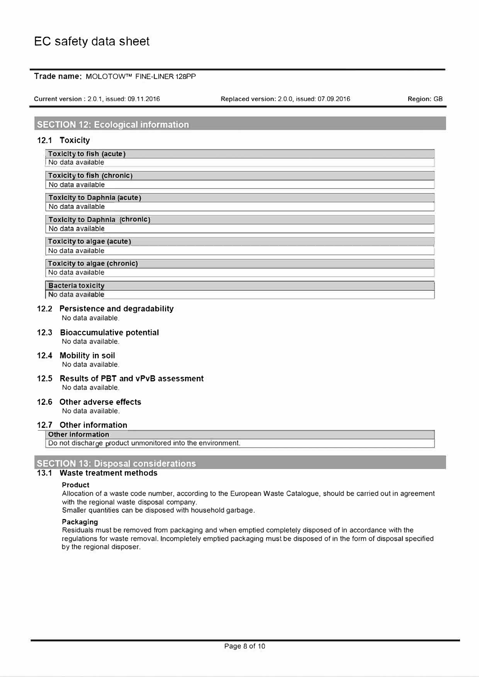### **Trade name:** MOLOTOW™ FINE-LINER 128PP

**Current version** : 2.0.1, issued: 09.11.2016

**Replaced version:** 2.0.0, issued: 07.09.2016 **Region:** GB

## **SECTION 12: Ecological information**

### **12.1 Toxicity**

**Toxicity to fish (acute)** No data available

**Toxicity to fish (chronic)** No data available

**Toxicity to Daphnia (acute)** 

No data available **Toxicity to Daphnia (chronic)** 

No data available

### **Toxlcity to algae (acute)** No data available

**Toxlcity to algae (chronic)** 

No data available

**�acterla toxlcity**

No data available

#### **12.2 Persistence and degradability**  No data available.

**12.3 Bioaccumulative potential**  No data available.

- **12.4 Mobility in soil**  No data available.
- **12.5 Results of PBT and vPvB assessment**  No data available.

#### **12.6 Other adverse effects**  No data available.

### **12.7 Other information Other Information**

Do not discharge product unmonitored into the environment.

## **SECTION 13: Disposal considerations**

## **13.1 Waste treatment methods**

### **Product**

Allocation of a waste code number, according to the European Waste Catalogue, should be carried out in agreement with the regional waste disposal company.

Smaller quantities can be disposed with household garbage.

### **Packaging**

Residuals must be removed from packaging and when emptied completely disposed of in accordance with the regulations for waste removal. lncompletely emptied packaging must be disposed of in the form of disposal specified by the regional disposer.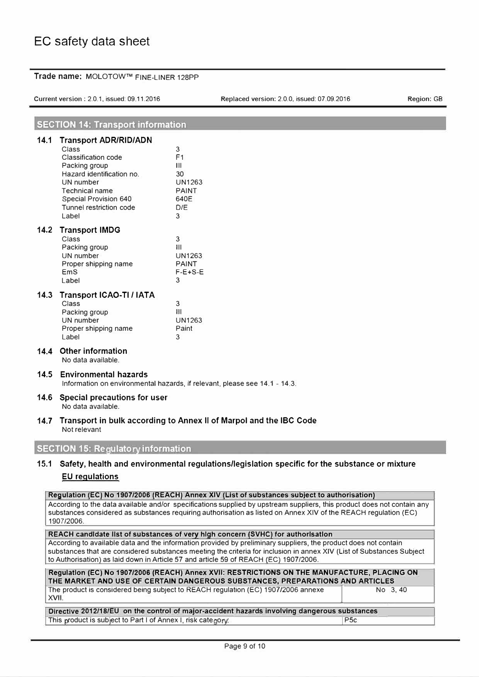|  | Trade name: MOLOTOW™ FINE-LINER 128PP |  |  |
|--|---------------------------------------|--|--|
|--|---------------------------------------|--|--|

Current version : 2.0.1, issued: 09.11.2016 Replaced version: 2.0.0, issued: 07.09.2016

**Region: GB** 

### **SECTION 14: Transport information**

| 14.1 | <b>Transport ADR/RID/ADN</b><br>Class<br>Classification code<br>Packing group<br>Hazard identification no.<br>UN number<br><b>Technical name</b><br><b>Special Provision 640</b><br>Tunnel restriction code<br>Label | 3<br>F <sub>1</sub><br>Ш<br>30<br><b>UN1263</b><br><b>PAINT</b><br>640E<br>D/F<br>3 |
|------|----------------------------------------------------------------------------------------------------------------------------------------------------------------------------------------------------------------------|-------------------------------------------------------------------------------------|
| 14.2 | <b>Transport IMDG</b><br>Class<br>Packing group<br>UN number<br>Proper shipping name<br>EmS<br>Label                                                                                                                 | 3<br>Ш<br><b>UN1263</b><br><b>PAINT</b><br>$F-E+S-E$<br>3                           |
| 14.3 | <b>Transport ICAO-TI / IATA</b><br>Class<br>Packing group<br>UN number<br>Proper shipping name<br>I abel                                                                                                             | 3<br>$\mathbf{H}$<br><b>UN1263</b><br>Paint<br>3                                    |
| 14.4 | <b>Other information</b>                                                                                                                                                                                             |                                                                                     |

No data available.

### **14.5 Environmental hazards**

Information on environmental hazards, if relevant, please see 14.1 - 14.3.

### **14.6 Special precautions for user**  No data available.

**14.7 Transport in bulk according to Annex II of Marpol and the IBC Code**  Not relevant

## **SECTION 15: Regulatory information**

## **15.1 Safety, health and environmental regulations/legislation specific for the substance or mixture EU regulations**

| Regulation (EC) No 1907/2006 (REACH) Annex XIV (List of substances subject to authorisation)                            |
|-------------------------------------------------------------------------------------------------------------------------|
| According to the data available and/or specifications supplied by upstream suppliers, this product does not contain any |
| substances considered as substances requiring authorisation as listed on Annex XIV of the REACH requlation (EC)         |
| 1907/2006.                                                                                                              |
|                                                                                                                         |
| <b>DEACH condidate list of substances of you blob concern (SVHC) for qutborisation</b>                                  |

**REACH candldate 11st of substances of very high concern (SVHC) for authorlsatlon** According to available data and the information provided by preliminary suppliers, the product does not contain substances that are considered substances meeting the criteria for inclusion in annex XIV (List of Substances Subject to Authorisation) as laid down in Article 57 and article 59 of REACH (EC) 1907/2006.

| Regulation (EC) No 1907/2006 (REACH) Annex XVII: RESTRICTIONS ON THE MANUFACTURE, PLACING ON |          |  |  |  |
|----------------------------------------------------------------------------------------------|----------|--|--|--|
| THE MARKET AND USE OF CERTAIN DANGEROUS SUBSTANCES, PREPARATIONS AND ARTICLES                |          |  |  |  |
| The product is considered being subject to REACH regulation (EC) 1907/2006 annexe            | No 3, 40 |  |  |  |
| XVII.                                                                                        |          |  |  |  |
|                                                                                              |          |  |  |  |

### **Directive 2012/18/EU on the control of major-accident hazards involving dangerous substances**  This product is subject to Part I of Annex I, risk category: P5c